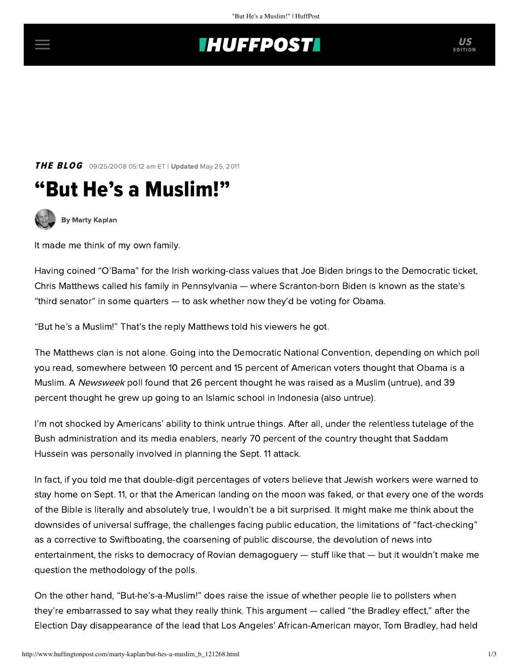## **THUFFPOST**

**THE BLOG** 09/25/2008 05:12 am ET | Updated May 25, 2011





[By Marty Kaplan](http://www.huffingtonpost.com/author/marty-kaplan)

It made me think of my own family.

Having coined "O'Bama" for the Irish working-class values that Joe Biden brings to the Democratic ticket, Chris Matthews called his family in Pennsylvania — where Scranton-born Biden is known as the state's "third senator" in some quarters — to ask whether now they'd be voting for Obama.

"But he's a Muslim!" That's the reply Matthews told his viewers he got.

The Matthews clan is not alone. Going into the Democratic National Convention, depending on which poll you read, somewhere between 10 percent and 15 percent of American voters thought that Obama is a Muslim. A Newsweek poll found that 26 percent thought he was raised as a Muslim (untrue), and 39 percent thought he grew up going to an Islamic school in Indonesia (also untrue).

I'm not shocked by Americans' ability to think untrue things. After all, under the relentless tutelage of the Bush administration and its media enablers, nearly 70 percent of the country thought that Saddam Hussein was personally involved in planning the Sept. 11 attack.

In fact, if you told me that double-digit percentages of voters believe that Jewish workers were warned to stay home on Sept. 11, or that the American landing on the moon was faked, or that every one of the words of the Bible is literally and absolutely true, I wouldn't be a bit surprised. It might make me think about the downsides of universal suffrage, the challenges facing public education, the limitations of "fact-checking" as a corrective to Swiftboating, the coarsening of public discourse, the devolution of news into entertainment, the risks to democracy of Rovian demagoguery — stuff like that — but it wouldn't make me question the methodology of the polls.

On the other hand, "But-he's-a-Muslim!" does raise the issue of whether people lie to pollsters when they're embarrassed to say what they really think. This argument — called "the Bradley effect," after the Election Day disappearance of the lead that Los Angeles' African-American mayor, Tom Bradley, had held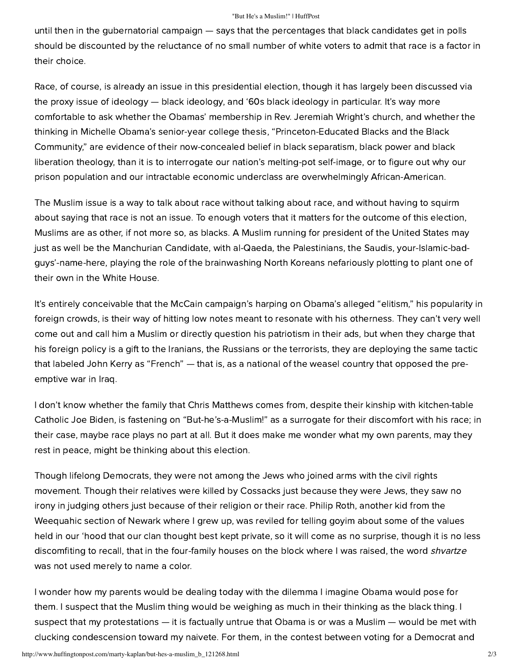## "But He's a Muslim!" | HuffPost

until then in the gubernatorial campaign — says that the percentages that black candidates get in polls should be discounted by the reluctance of no small number of white voters to admit that race is a factor in their choice.

Race, of course, is already an issue in this presidential election, though it has largely been discussed via the proxy issue of ideology — black ideology, and '60s black ideology in particular. It's way more comfortable to ask whether the Obamas' membership in Rev. Jeremiah Wright's church, and whether the thinking in Michelle Obama's senior-year college thesis, "Princeton-Educated Blacks and the Black Community," are evidence of their now-concealed belief in black separatism, black power and black liberation theology, than it is to interrogate our nation's melting-pot self-image, or to figure out why our prison population and our intractable economic underclass are overwhelmingly African-American.

The Muslim issue is a way to talk about race without talking about race, and without having to squirm about saying that race is not an issue. To enough voters that it matters for the outcome of this election, Muslims are as other, if not more so, as blacks. A Muslim running for president of the United States may just as well be the Manchurian Candidate, with al-Qaeda, the Palestinians, the Saudis, your-Islamic-badguys'-name-here, playing the role of the brainwashing North Koreans nefariously plotting to plant one of their own in the White House.

It's entirely conceivable that the McCain campaign's harping on Obama's alleged "elitism," his popularity in foreign crowds, is their way of hitting low notes meant to resonate with his otherness. They can't very well come out and call him a Muslim or directly question his patriotism in their ads, but when they charge that his foreign policy is a gift to the Iranians, the Russians or the terrorists, they are deploying the same tactic that labeled John Kerry as "French" — that is, as a national of the weasel country that opposed the preemptive war in Iraq.

I don't know whether the family that Chris Matthews comes from, despite their kinship with kitchen-table Catholic Joe Biden, is fastening on "But-he's-a-Muslim!" as a surrogate for their discomfort with his race; in their case, maybe race plays no part at all. But it does make me wonder what my own parents, may they rest in peace, might be thinking about this election.

Though lifelong Democrats, they were not among the Jews who joined arms with the civil rights movement. Though their relatives were killed by Cossacks just because they were Jews, they saw no irony in judging others just because of their religion or their race. Philip Roth, another kid from the Weequahic section of Newark where I grew up, was reviled for telling goyim about some of the values held in our 'hood that our clan thought best kept private, so it will come as no surprise, though it is no less discomfiting to recall, that in the four-family houses on the block where I was raised, the word *shvartze* was not used merely to name a color.

I wonder how my parents would be dealing today with the dilemma I imagine Obama would pose for them. I suspect that the Muslim thing would be weighing as much in their thinking as the black thing. I suspect that my protestations — it is factually untrue that Obama is or was a Muslim — would be met with clucking condescension toward my naivete. For them, in the contest between voting for a Democrat and